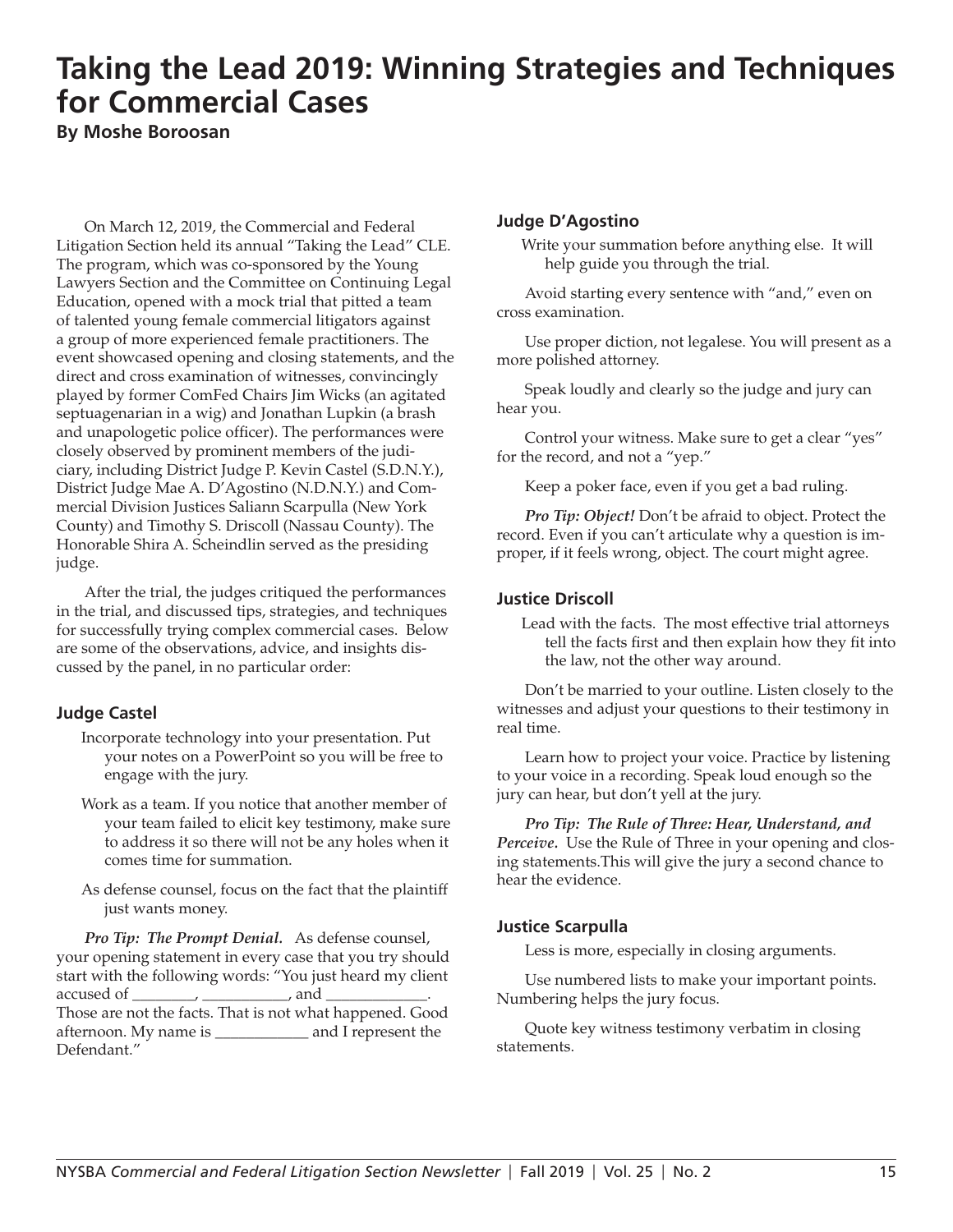## **Taking the Lead 2019: Winning Strategies and Techniques for Commercial Cases**

**By Moshe Boroosan**

On March 12, 2019, the Commercial and Federal Litigation Section held its annual "Taking the Lead" CLE. The program, which was co-sponsored by the Young Lawyers Section and the Committee on Continuing Legal Education, opened with a mock trial that pitted a team of talented young female commercial litigators against a group of more experienced female practitioners. The event showcased opening and closing statements, and the direct and cross examination of witnesses, convincingly played by former ComFed Chairs Jim Wicks (an agitated septuagenarian in a wig) and Jonathan Lupkin (a brash and unapologetic police officer). The performances were closely observed by prominent members of the judiciary, including District Judge P. Kevin Castel (S.D.N.Y.), District Judge Mae A. D'Agostino (N.D.N.Y.) and Commercial Division Justices Saliann Scarpulla (New York County) and Timothy S. Driscoll (Nassau County). The Honorable Shira A. Scheindlin served as the presiding judge.

After the trial, the judges critiqued the performances in the trial, and discussed tips, strategies, and techniques for successfully trying complex commercial cases. Below are some of the observations, advice, and insights discussed by the panel, in no particular order:

#### **Judge Castel**

- Incorporate technology into your presentation. Put your notes on a PowerPoint so you will be free to engage with the jury.
- Work as a team. If you notice that another member of your team failed to elicit key testimony, make sure to address it so there will not be any holes when it comes time for summation.
- As defense counsel, focus on the fact that the plaintiff just wants money.

*Pro Tip: The Prompt Denial.* As defense counsel, your opening statement in every case that you try should start with the following words: "You just heard my client accused of \_\_\_\_\_\_\_\_, \_\_\_\_\_\_\_\_\_\_\_\_, and \_ Those are not the facts. That is not what happened. Good afternoon. My name is \_\_\_\_\_\_\_\_\_\_\_\_ and I represent the Defendant."

#### **Judge D'Agostino**

Write your summation before anything else. It will help guide you through the trial.

Avoid starting every sentence with "and," even on cross examination.

Use proper diction, not legalese. You will present as a more polished attorney.

Speak loudly and clearly so the judge and jury can hear you.

Control your witness. Make sure to get a clear "yes" for the record, and not a "yep."

Keep a poker face, even if you get a bad ruling.

*Pro Tip: Object!* Don't be afraid to object. Protect the record. Even if you can't articulate why a question is improper, if it feels wrong, object. The court might agree.

#### **Justice Driscoll**

Lead with the facts. The most effective trial attorneys tell the facts first and then explain how they fit into the law, not the other way around.

Don't be married to your outline. Listen closely to the witnesses and adjust your questions to their testimony in real time.

Learn how to project your voice. Practice by listening to your voice in a recording. Speak loud enough so the jury can hear, but don't yell at the jury.

*Pro Tip: The Rule of Three: Hear, Understand, and Perceive.* Use the Rule of Three in your opening and closing statements.This will give the jury a second chance to hear the evidence.

#### **Justice Scarpulla**

Less is more, especially in closing arguments.

Use numbered lists to make your important points. Numbering helps the jury focus.

Quote key witness testimony verbatim in closing statements.